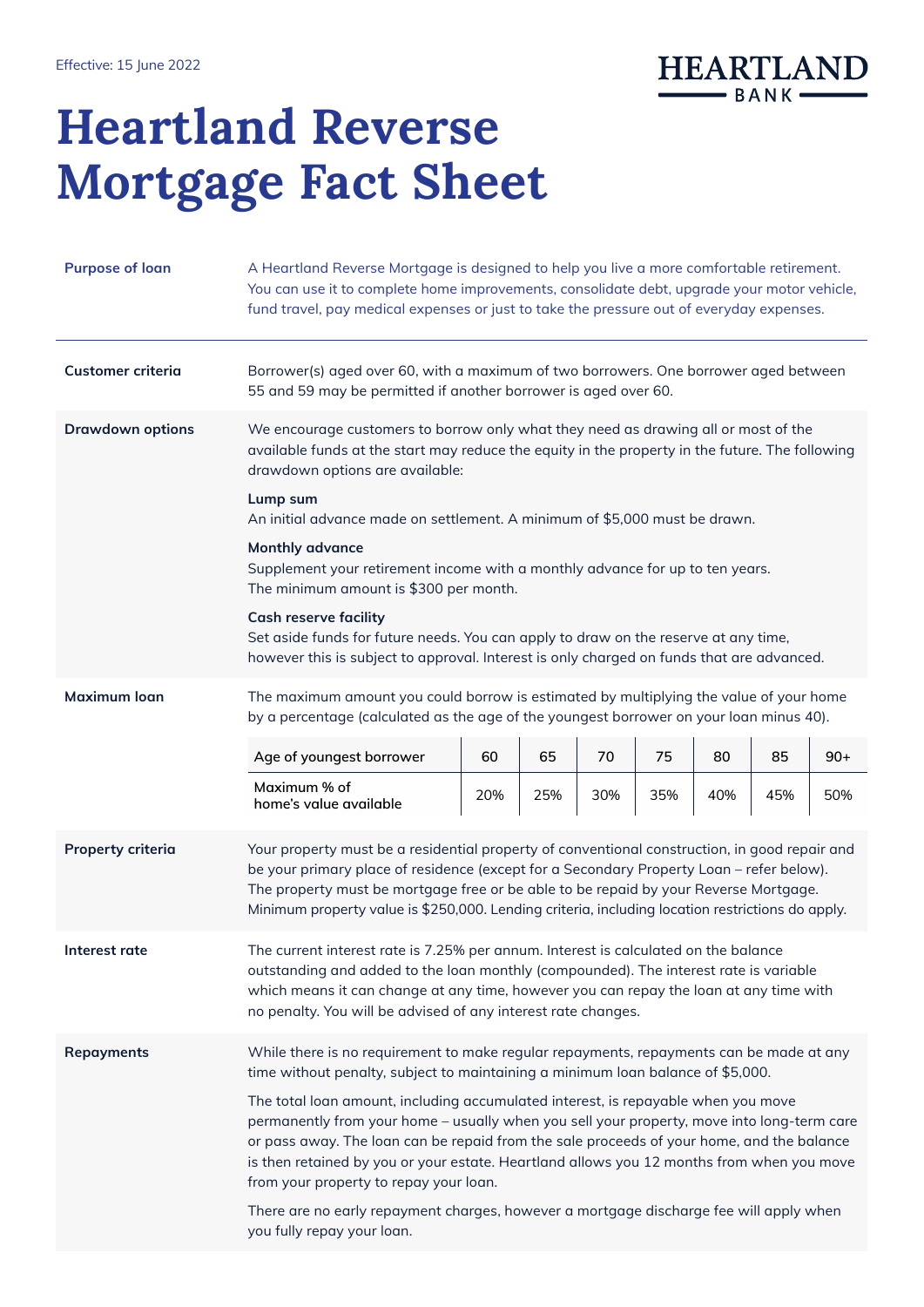

## Heartland Reverse Mortgage Fact Sheet

| <b>Purpose of loan</b>   | A Heartland Reverse Mortgage is designed to help you live a more comfortable retirement.<br>You can use it to complete home improvements, consolidate debt, upgrade your motor vehicle,<br>fund travel, pay medical expenses or just to take the pressure out of everyday expenses.                                                                                                                                 |     |     |     |     |     |     |       |  |  |
|--------------------------|---------------------------------------------------------------------------------------------------------------------------------------------------------------------------------------------------------------------------------------------------------------------------------------------------------------------------------------------------------------------------------------------------------------------|-----|-----|-----|-----|-----|-----|-------|--|--|
| <b>Customer criteria</b> | Borrower(s) aged over 60, with a maximum of two borrowers. One borrower aged between<br>55 and 59 may be permitted if another borrower is aged over 60.                                                                                                                                                                                                                                                             |     |     |     |     |     |     |       |  |  |
| <b>Drawdown options</b>  | We encourage customers to borrow only what they need as drawing all or most of the<br>available funds at the start may reduce the equity in the property in the future. The following<br>drawdown options are available:                                                                                                                                                                                            |     |     |     |     |     |     |       |  |  |
|                          | Lump sum<br>An initial advance made on settlement. A minimum of \$5,000 must be drawn.                                                                                                                                                                                                                                                                                                                              |     |     |     |     |     |     |       |  |  |
|                          | <b>Monthly advance</b><br>Supplement your retirement income with a monthly advance for up to ten years.<br>The minimum amount is \$300 per month.                                                                                                                                                                                                                                                                   |     |     |     |     |     |     |       |  |  |
|                          | <b>Cash reserve facility</b><br>Set aside funds for future needs. You can apply to draw on the reserve at any time,<br>however this is subject to approval. Interest is only charged on funds that are advanced.                                                                                                                                                                                                    |     |     |     |     |     |     |       |  |  |
| <b>Maximum loan</b>      | The maximum amount you could borrow is estimated by multiplying the value of your home<br>by a percentage (calculated as the age of the youngest borrower on your loan minus 40).                                                                                                                                                                                                                                   |     |     |     |     |     |     |       |  |  |
|                          | Age of youngest borrower                                                                                                                                                                                                                                                                                                                                                                                            | 60  | 65  | 70  | 75  | 80  | 85  | $90+$ |  |  |
|                          | Maximum % of<br>home's value available                                                                                                                                                                                                                                                                                                                                                                              | 20% | 25% | 30% | 35% | 40% | 45% | 50%   |  |  |
| <b>Property criteria</b> | Your property must be a residential property of conventional construction, in good repair and<br>be your primary place of residence (except for a Secondary Property Loan - refer below).<br>The property must be mortgage free or be able to be repaid by your Reverse Mortgage.<br>Minimum property value is \$250,000. Lending criteria, including location restrictions do apply.                               |     |     |     |     |     |     |       |  |  |
| Interest rate            | The current interest rate is 7.25% per annum. Interest is calculated on the balance<br>outstanding and added to the loan monthly (compounded). The interest rate is variable<br>which means it can change at any time, however you can repay the loan at any time with<br>no penalty. You will be advised of any interest rate changes.                                                                             |     |     |     |     |     |     |       |  |  |
| <b>Repayments</b>        | While there is no requirement to make regular repayments, repayments can be made at any<br>time without penalty, subject to maintaining a minimum loan balance of \$5,000.                                                                                                                                                                                                                                          |     |     |     |     |     |     |       |  |  |
|                          | The total loan amount, including accumulated interest, is repayable when you move<br>permanently from your home - usually when you sell your property, move into long-term care<br>or pass away. The loan can be repaid from the sale proceeds of your home, and the balance<br>is then retained by you or your estate. Heartland allows you 12 months from when you move<br>from your property to repay your loan. |     |     |     |     |     |     |       |  |  |
|                          | There are no early repayment charges, however a mortgage discharge fee will apply when<br>you fully repay your loan.                                                                                                                                                                                                                                                                                                |     |     |     |     |     |     |       |  |  |